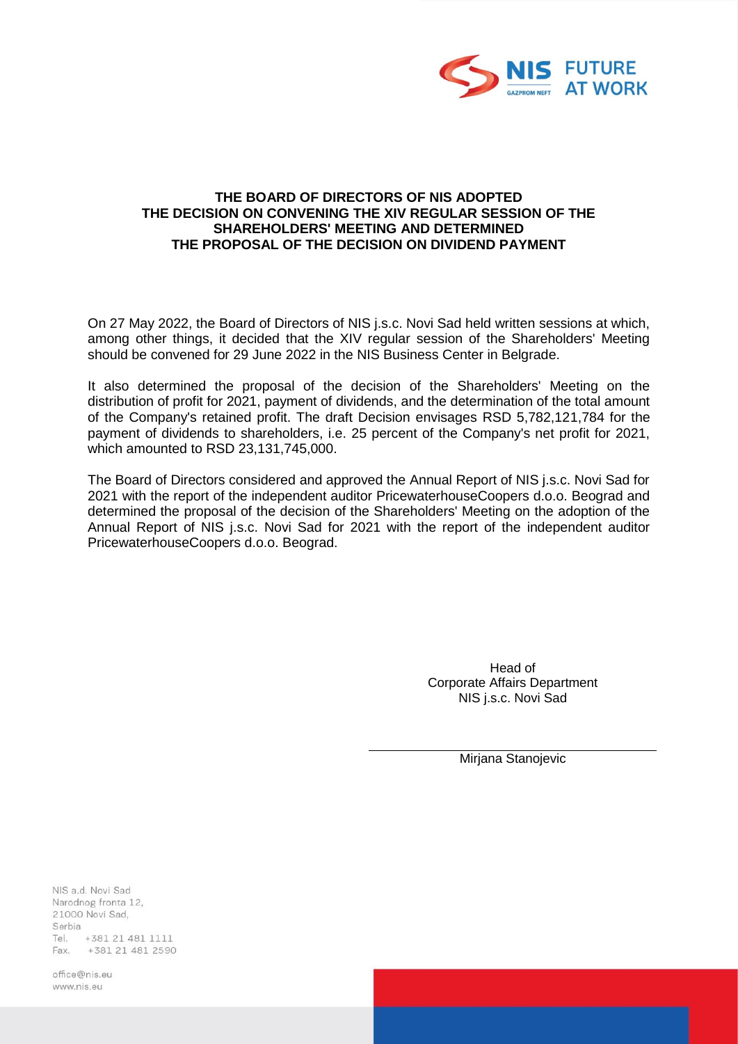

## **THE BOARD OF DIRECTORS OF NIS ADOPTED THE DECISION ON CONVENING THE XIV REGULAR SESSION OF THE SHAREHOLDERS' MEETING AND DETERMINED THE PROPOSAL OF THE DECISION ON DIVIDEND PAYMENT**

On 27 May 2022, the Board of Directors of NIS j.s.c. Novi Sad held written sessions at which, among other things, it decided that the XIV regular session of the Shareholders' Meeting should be convened for 29 June 2022 in the NIS Business Center in Belgrade.

It also determined the proposal of the decision of the Shareholders' Meeting on the distribution of profit for 2021, payment of dividends, and the determination of the total amount of the Company's retained profit. The draft Decision envisages RSD 5,782,121,784 for the payment of dividends to shareholders, i.e. 25 percent of the Company's net profit for 2021, which amounted to RSD 23,131,745,000.

The Board of Directors considered and approved the Annual Report of NIS j.s.c. Novi Sad for 2021 with the report of the independent auditor PricewaterhouseCoopers d.o.o. Beograd and determined the proposal of the decision of the Shareholders' Meeting on the adoption of the Annual Report of NIS j.s.c. Novi Sad for 2021 with the report of the independent auditor PricewaterhouseCoopers d.o.o. Beograd.

> Head of Corporate Affairs Department NIS j.s.c. Novi Sad

> > Mirjana Stanojevic

NIS a.d. Novi Sad Narodnog fronta 12, 21000 Novi Sad, Serbia Tel. +381 21 481 1111 Fax. +381 21 481 2590

office@nis.eu www.nis.eu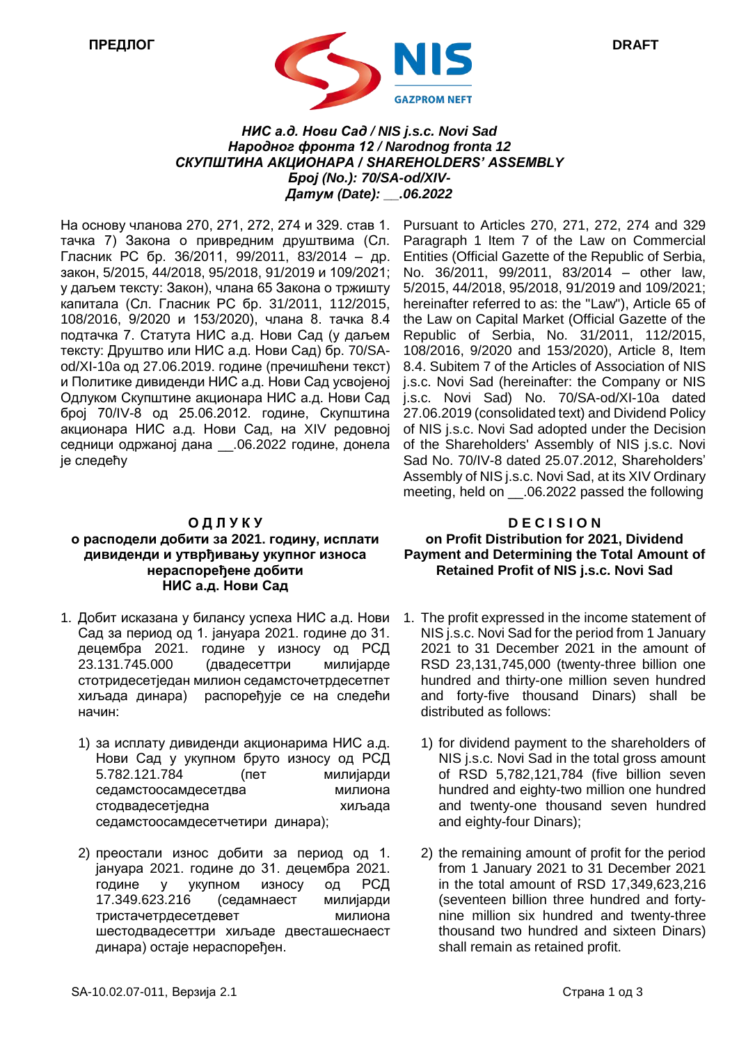

## *НИС a.д. Нови Сад / NIS j.s.c. Novi Sad Народног фронта 12 / Narodnog fronta 12 СКУПШТИНА АКЦИОНАРА / SHAREHOLDERS' ASSEMBLY Број (No.): 70/SA-od/XIV-Датум (Date): \_\_.06.2022*

На основу чланoва 270, 271, 272, 274 и 329. став 1. тачка 7) Закона о привредним друштвима (Сл. Гласник РС бр. 36/2011, 99/2011, 83/2014 – др. закон, 5/2015, 44/2018, 95/2018, 91/2019 и 109/2021; у даљем тексту: Закон), члана 65 Закона о тржишту капитала (Сл. Гласник РС бр. 31/2011, 112/2015, 108/2016, 9/2020 и 153/2020), члана 8. тачка 8.4 подтачка 7. Статута НИС а.д. Нови Сад (у даљем тексту: Друштво или НИС а.д. Нови Сад) бр. 70/SAod/XI-10a oд 27.06.2019. године (пречишћени текст) и Политике дивиденди НИС а.д. Нови Сад усвојеној Одлуком Скупштине акционара НИС а.д. Нови Сад број 70/IV-8 од 25.06.2012. године, Скупштина акционара НИС а.д. Нови Сад, на XIV редовној седници одржаној дана \_\_.06.2022 године, донела је следећу

#### **О Д Л У К У**

## **о расподели добити за 2021. годину, исплати дивиденди и утврђивању укупног износа нераспоређене добити НИС а.д. Нови Сад**

- 1. Добит исказана у билансу успеха НИС а.д. Нови Сад за период од 1. јануара 2021. године до 31. децембра 2021. године у износу од РСД 23.131.745.000 (двадесеттри милијарде стотридесетједан милион седамсточетрдесетпет хиљада динара) распоређује се на следећи начин:
	- 1) за исплату дивиденди акционарима НИС а.д. Нови Сад у укупном бруто износу од РСД 5.782.121.784 (пет милијарди седамстоосамдесетдва милиона стодвадесетједна хиљада седамстоосамдесетчетири динара);
	- 2) преостали износ добити за период од 1. јануара 2021. године до 31. децембра 2021. године у укупном износу од РСД 17.349.623.216 (седамнаест милијарди тристачетрдесетдевет милиона шестодвадесеттри хиљаде двесташеснаест динара) остаје нераспоређен.

Pursuant to Articles 270, 271, 272, 274 and 329 Paragraph 1 Item 7 of the Law on Commercial Entities (Official Gazette of the Republic of Serbia, No. 36/2011, 99/2011, 83/2014 – other law, 5/2015, 44/2018, 95/2018, 91/2019 and 109/2021; hereinafter referred to as: the "Law"), Article 65 of the Law on Capital Market (Official Gazette of the Republic of Serbia, No. 31/2011, 112/2015, 108/2016, 9/2020 and 153/2020), Article 8, Item 8.4. Subitem 7 of the Articles of Association of NIS j.s.c. Novi Sad (hereinafter: the Company or NIS j.s.c. Novi Sad) No. 70/SA-od/XI-10a dated 27.06.2019 (consolidated text) and Dividend Policy of NIS j.s.c. Novi Sad adopted under the Decision of the Shareholders' Assembly of NIS j.s.c. Novi Sad No. 70/IV-8 dated 25.07.2012, Shareholders' Assembly of NIS j.s.c. Novi Sad, at its XIV Ordinary meeting, held on \_\_.06.2022 passed the following

# **D E C I S I O N оn Profit Distribution for 2021, Dividend Payment and Determining the Total Amount of Retained Profit of NIS j.s.c. Novi Sad**

- 1. The profit expressed in the income statement of NIS j.s.c. Novi Sad for the period from 1 January 2021 to 31 December 2021 in the amount of RSD 23,131,745,000 (twenty-three billion one hundred and thirty-one million seven hundred and forty-five thousand Dinars) shall be distributed as follows:
	- 1) for dividend payment to the shareholders of NIS j.s.c. Novi Sad in the total gross amount of RSD 5,782,121,784 (five billion seven hundred and eighty-two million one hundred and twenty-one thousand seven hundred and eighty-four Dinars);
	- 2) the remaining amount of profit for the period from 1 January 2021 to 31 December 2021 in the total amount of RSD 17,349,623,216 (seventeen billion three hundred and fortynine million six hundred and twenty-three thousand two hundred and sixteen Dinars) shall remain as retained profit.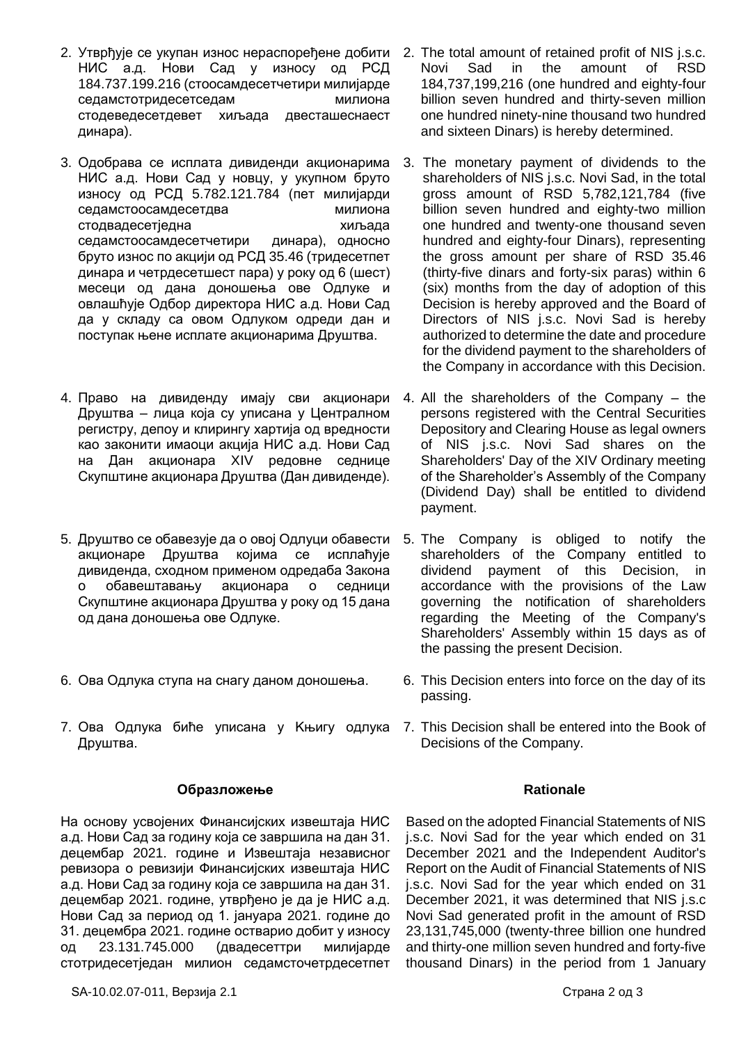- 2. Утврђује се укупан износ нераспоређене добити 2. The total amount of retained profit of NIS j.s.c. НИС а.д. Нови Сад у износу од РСД 184.737.199.216 (стоосамдесетчетири милијарде седамстотридесетседам милиона стодеведесетдевет хиљада двесташеснаест динара).
- 3. Одобрава се исплата дивиденди акционарима НИС а.д. Нови Сад у новцу, у укупном бруто износу од РСД 5.782.121.784 (пет милијарди седамстоосамдесетдва милиона стодвадесетједна хиљада седамстоосамдесетчетири динара), односно бруто износ по акцији од РСД 35.46 (тридесетпет динара и четрдесетшест пара) у року од 6 (шест) месеци од дана доношења ове Одлуке и овлашћује Одбор директора НИС а.д. Нови Сад да у складу са овом Одлуком одреди дан и поступак њене исплате акционарима Друштва.
- 4. Право на дивиденду имају сви акционари Друштва – лица која су уписана у Централном регистру, депоу и клирингу хартија од вредности као законити имаоци акција НИС а.д. Нови Сад на Дан акционара XIV редовне седнице Скупштине акционара Друштва (Дан дивиденде).
- 5. Друштво се обавезује да о овој Одлуци обавести акционаре Друштва којима се исплаћује дивиденда, сходном применом одредаба Закона о обавештавању акционара о седници Скупштине акционара Друштва у року од 15 дана од дана доношења ове Одлуке.
- 6. Ова Одлука ступа на снагу даном доношења.
- 7. Ова Одлука биће уписана у Kњигу одлука 7. This Decision shall be entered into the Book of Друштва.

## **Образложење**

На основу усвојених Финансијских извештаја НИС а.д. Нови Сад за годину која се завршила на дан 31. децембар 2021. године и Извештаја независног ревизора о ревизији Финансијских извештаја НИС а.д. Нови Сад за годину која се завршила на дан 31. децембар 2021. године, утврђено је да је НИС а.д. Нови Сад за период од 1. јануара 2021. године до 31. децембра 2021. године остварио добит у износу од 23.131.745.000 (двадесеттри милијарде стотридесетједан милион седамсточетрдесетпет

- Novi Sad in the amount of RSD 184,737,199,216 (one hundred and eighty-four billion seven hundred and thirty-seven million one hundred ninety-nine thousand two hundred and sixteen Dinars) is hereby determined.
- 3. The monetary payment of dividends to the shareholders of NIS j.s.c. Novi Sad, in the total gross amount of RSD 5,782,121,784 (five billion seven hundred and eighty-two million one hundred and twenty-one thousand seven hundred and eighty-four Dinars), representing the gross amount per share of RSD 35.46 (thirty-five dinars and forty-six paras) within 6 (six) months from the day of adoption of this Decision is hereby approved and the Board of Directors of NIS j.s.c. Novi Sad is hereby authorized to determine the date and procedure for the dividend payment to the shareholders of the Company in accordance with this Decision.
- 4. All the shareholders of the Company the persons registered with the Central Securities Depository and Clearing House as legal owners of NIS j.s.c. Novi Sad shares on the Shareholders' Day of the XIV Ordinary meeting of the Shareholder's Assembly of the Company (Dividend Day) shall be entitled to dividend payment.
- 5. The Company is obliged to notify the shareholders of the Company entitled to dividend payment of this Decision, in accordance with the provisions of the Law governing the notification of shareholders regarding the Meeting of the Company's Shareholders' Assembly within 15 days as of the passing the present Decision.
- 6. This Decision enters into force on the day of its passing.
- Decisions of the Company.

## **Rationale**

Based on the adopted Financial Statements of NIS j.s.c. Novi Sad for the year which ended on 31 December 2021 and the Independent Auditor's Report on the Audit of Financial Statements of NIS j.s.c. Novi Sad for the year which ended on 31 December 2021, it was determined that NIS j.s.c Novi Sad generated profit in the amount of RSD 23,131,745,000 (twenty-three billion one hundred and thirty-one million seven hundred and forty-five thousand Dinars) in the period from 1 January